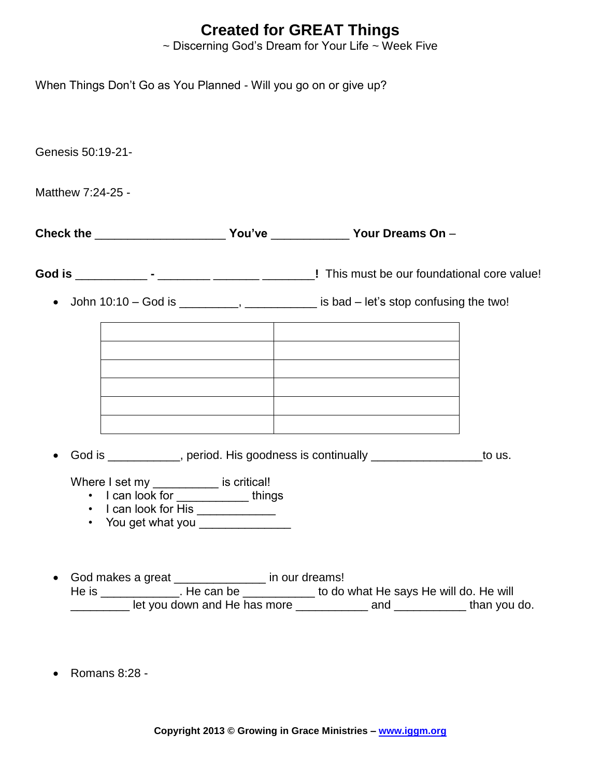## **Created for GREAT Things**

 $\sim$  Discerning God's Dream for Your Life  $\sim$  Week Five

When Things Don't Go as You Planned - Will you go on or give up?

Genesis 50:19-21-

Matthew 7:24-25 -

**Check the** \_\_\_\_\_\_\_\_\_\_\_\_\_\_\_\_\_\_\_\_ **You've** \_\_\_\_\_\_\_\_\_\_\_\_ **Your Dreams On** –

**God is** \_\_\_\_\_\_\_\_\_\_\_ **-** \_\_\_\_\_\_\_\_ \_\_\_\_\_\_\_ \_\_\_\_\_\_\_\_**!** This must be our foundational core value!

• John  $10:10 - God$  is  $\_\_\_\_\_\_\_\_\_\_\_\_\_\_\_\_\_\_\_\_\_$  is bad  $-$  let's stop confusing the two!

• God is \_\_\_\_\_\_\_\_\_, period. His goodness is continually \_\_\_\_\_\_\_\_\_\_\_\_\_\_\_\_\_to us.

Where I set my \_\_\_\_\_\_\_\_\_\_\_ is critical!

- I can look for \_\_\_\_\_\_\_\_\_\_\_\_things
- I can look for His **contained**
- You get what you
- God makes a great \_\_\_\_\_\_\_\_\_\_\_\_\_\_ in our dreams! He is \_\_\_\_\_\_\_\_\_\_\_\_\_. He can be \_\_\_\_\_\_\_\_\_\_\_\_ to do what He says He will do. He will \_\_\_\_\_\_\_\_\_ let you down and He has more \_\_\_\_\_\_\_\_\_\_\_ and \_\_\_\_\_\_\_\_\_\_\_ than you do.
- $\bullet$  Romans 8:28 -